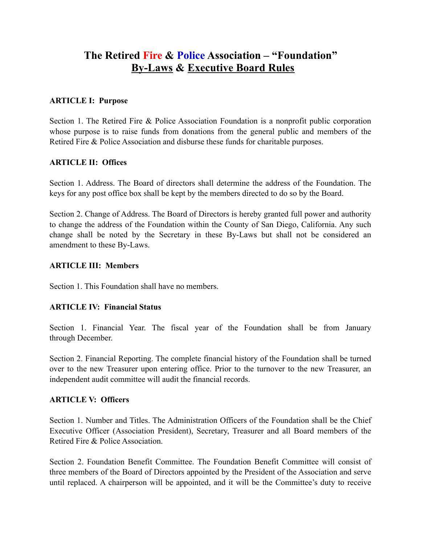# **The Retired Fire & Police Association – "Foundation" By-Laws & Executive Board Rules**

## **ARTICLE I: Purpose**

Section 1. The Retired Fire & Police Association Foundation is a nonprofit public corporation whose purpose is to raise funds from donations from the general public and members of the Retired Fire & Police Association and disburse these funds for charitable purposes.

## **ARTICLE II: Offices**

Section 1. Address. The Board of directors shall determine the address of the Foundation. The keys for any post office box shall be kept by the members directed to do so by the Board.

Section 2. Change of Address. The Board of Directors is hereby granted full power and authority to change the address of the Foundation within the County of San Diego, California. Any such change shall be noted by the Secretary in these By-Laws but shall not be considered an amendment to these By-Laws.

#### **ARTICLE III: Members**

Section 1. This Foundation shall have no members.

## **ARTICLE IV: Financial Status**

Section 1. Financial Year. The fiscal year of the Foundation shall be from January through December.

Section 2. Financial Reporting. The complete financial history of the Foundation shall be turned over to the new Treasurer upon entering office. Prior to the turnover to the new Treasurer, an independent audit committee will audit the financial records.

#### **ARTICLE V: Officers**

Section 1. Number and Titles. The Administration Officers of the Foundation shall be the Chief Executive Officer (Association President), Secretary, Treasurer and all Board members of the Retired Fire & Police Association.

Section 2. Foundation Benefit Committee. The Foundation Benefit Committee will consist of three members of the Board of Directors appointed by the President of the Association and serve until replaced. A chairperson will be appointed, and it will be the Committee's duty to receive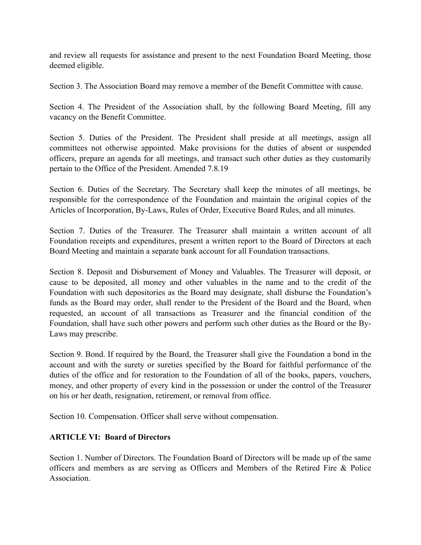and review all requests for assistance and present to the next Foundation Board Meeting, those deemed eligible.

Section 3. The Association Board may remove a member of the Benefit Committee with cause.

Section 4. The President of the Association shall, by the following Board Meeting, fill any vacancy on the Benefit Committee.

Section 5. Duties of the President. The President shall preside at all meetings, assign all committees not otherwise appointed. Make provisions for the duties of absent or suspended officers, prepare an agenda for all meetings, and transact such other duties as they customarily pertain to the Office of the President. Amended 7.8.19

Section 6. Duties of the Secretary. The Secretary shall keep the minutes of all meetings, be responsible for the correspondence of the Foundation and maintain the original copies of the Articles of Incorporation, By-Laws, Rules of Order, Executive Board Rules, and all minutes.

Section 7. Duties of the Treasurer. The Treasurer shall maintain a written account of all Foundation receipts and expenditures, present a written report to the Board of Directors at each Board Meeting and maintain a separate bank account for all Foundation transactions.

Section 8. Deposit and Disbursement of Money and Valuables. The Treasurer will deposit, or cause to be deposited, all money and other valuables in the name and to the credit of the Foundation with such depositories as the Board may designate, shall disburse the Foundation's funds as the Board may order, shall render to the President of the Board and the Board, when requested, an account of all transactions as Treasurer and the financial condition of the Foundation, shall have such other powers and perform such other duties as the Board or the By-Laws may prescribe.

Section 9. Bond. If required by the Board, the Treasurer shall give the Foundation a bond in the account and with the surety or sureties specified by the Board for faithful performance of the duties of the office and for restoration to the Foundation of all of the books, papers, vouchers, money, and other property of every kind in the possession or under the control of the Treasurer on his or her death, resignation, retirement, or removal from office.

Section 10. Compensation. Officer shall serve without compensation.

# **ARTICLE VI: Board of Directors**

Section 1. Number of Directors. The Foundation Board of Directors will be made up of the same officers and members as are serving as Officers and Members of the Retired Fire & Police **Association**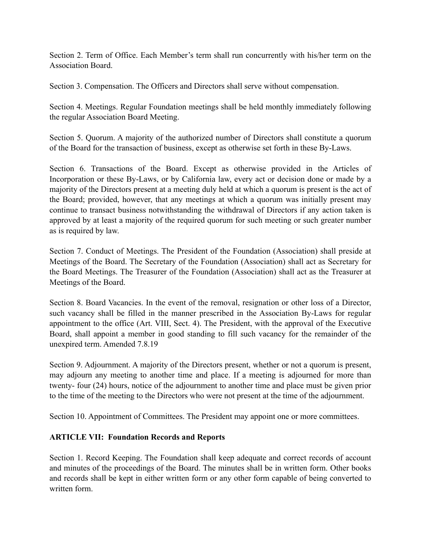Section 2. Term of Office. Each Member's term shall run concurrently with his/her term on the Association Board.

Section 3. Compensation. The Officers and Directors shall serve without compensation.

Section 4. Meetings. Regular Foundation meetings shall be held monthly immediately following the regular Association Board Meeting.

Section 5. Quorum. A majority of the authorized number of Directors shall constitute a quorum of the Board for the transaction of business, except as otherwise set forth in these By-Laws.

Section 6. Transactions of the Board. Except as otherwise provided in the Articles of Incorporation or these By-Laws, or by California law, every act or decision done or made by a majority of the Directors present at a meeting duly held at which a quorum is present is the act of the Board; provided, however, that any meetings at which a quorum was initially present may continue to transact business notwithstanding the withdrawal of Directors if any action taken is approved by at least a majority of the required quorum for such meeting or such greater number as is required by law.

Section 7. Conduct of Meetings. The President of the Foundation (Association) shall preside at Meetings of the Board. The Secretary of the Foundation (Association) shall act as Secretary for the Board Meetings. The Treasurer of the Foundation (Association) shall act as the Treasurer at Meetings of the Board.

Section 8. Board Vacancies. In the event of the removal, resignation or other loss of a Director, such vacancy shall be filled in the manner prescribed in the Association By-Laws for regular appointment to the office (Art. VIII, Sect. 4). The President, with the approval of the Executive Board, shall appoint a member in good standing to fill such vacancy for the remainder of the unexpired term. Amended 7.8.19

Section 9. Adjournment. A majority of the Directors present, whether or not a quorum is present, may adjourn any meeting to another time and place. If a meeting is adjourned for more than twenty- four (24) hours, notice of the adjournment to another time and place must be given prior to the time of the meeting to the Directors who were not present at the time of the adjournment.

Section 10. Appointment of Committees. The President may appoint one or more committees.

## **ARTICLE VII: Foundation Records and Reports**

Section 1. Record Keeping. The Foundation shall keep adequate and correct records of account and minutes of the proceedings of the Board. The minutes shall be in written form. Other books and records shall be kept in either written form or any other form capable of being converted to written form.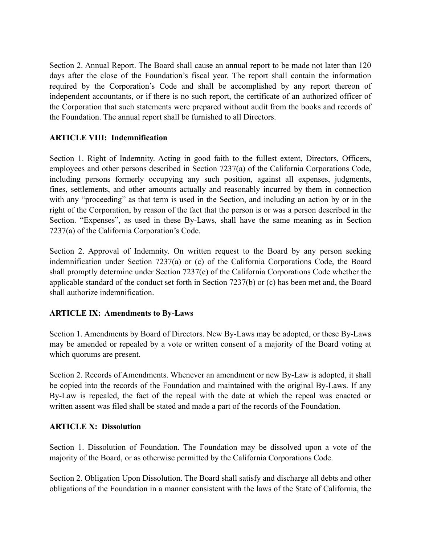Section 2. Annual Report. The Board shall cause an annual report to be made not later than 120 days after the close of the Foundation's fiscal year. The report shall contain the information required by the Corporation's Code and shall be accomplished by any report thereon of independent accountants, or if there is no such report, the certificate of an authorized officer of the Corporation that such statements were prepared without audit from the books and records of the Foundation. The annual report shall be furnished to all Directors.

## **ARTICLE VIII: Indemnification**

Section 1. Right of Indemnity. Acting in good faith to the fullest extent, Directors, Officers, employees and other persons described in Section 7237(a) of the California Corporations Code, including persons formerly occupying any such position, against all expenses, judgments, fines, settlements, and other amounts actually and reasonably incurred by them in connection with any "proceeding" as that term is used in the Section, and including an action by or in the right of the Corporation, by reason of the fact that the person is or was a person described in the Section. "Expenses", as used in these By-Laws, shall have the same meaning as in Section 7237(a) of the California Corporation's Code.

Section 2. Approval of Indemnity. On written request to the Board by any person seeking indemnification under Section 7237(a) or (c) of the California Corporations Code, the Board shall promptly determine under Section 7237(e) of the California Corporations Code whether the applicable standard of the conduct set forth in Section 7237(b) or (c) has been met and, the Board shall authorize indemnification.

## **ARTICLE IX: Amendments to By-Laws**

Section 1. Amendments by Board of Directors. New By-Laws may be adopted, or these By-Laws may be amended or repealed by a vote or written consent of a majority of the Board voting at which quorums are present.

Section 2. Records of Amendments. Whenever an amendment or new By-Law is adopted, it shall be copied into the records of the Foundation and maintained with the original By-Laws. If any By-Law is repealed, the fact of the repeal with the date at which the repeal was enacted or written assent was filed shall be stated and made a part of the records of the Foundation.

## **ARTICLE X: Dissolution**

Section 1. Dissolution of Foundation. The Foundation may be dissolved upon a vote of the majority of the Board, or as otherwise permitted by the California Corporations Code.

Section 2. Obligation Upon Dissolution. The Board shall satisfy and discharge all debts and other obligations of the Foundation in a manner consistent with the laws of the State of California, the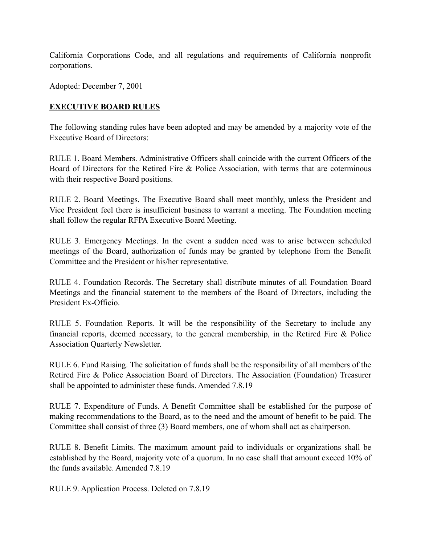California Corporations Code, and all regulations and requirements of California nonprofit corporations.

Adopted: December 7, 2001

## **EXECUTIVE BOARD RULES**

The following standing rules have been adopted and may be amended by a majority vote of the Executive Board of Directors:

RULE 1. Board Members. Administrative Officers shall coincide with the current Officers of the Board of Directors for the Retired Fire & Police Association, with terms that are coterminous with their respective Board positions.

RULE 2. Board Meetings. The Executive Board shall meet monthly, unless the President and Vice President feel there is insufficient business to warrant a meeting. The Foundation meeting shall follow the regular RFPA Executive Board Meeting.

RULE 3. Emergency Meetings. In the event a sudden need was to arise between scheduled meetings of the Board, authorization of funds may be granted by telephone from the Benefit Committee and the President or his/her representative.

RULE 4. Foundation Records. The Secretary shall distribute minutes of all Foundation Board Meetings and the financial statement to the members of the Board of Directors, including the President Ex-Officio.

RULE 5. Foundation Reports. It will be the responsibility of the Secretary to include any financial reports, deemed necessary, to the general membership, in the Retired Fire & Police Association Quarterly Newsletter.

RULE 6. Fund Raising. The solicitation of funds shall be the responsibility of all members of the Retired Fire & Police Association Board of Directors. The Association (Foundation) Treasurer shall be appointed to administer these funds. Amended 7.8.19

RULE 7. Expenditure of Funds. A Benefit Committee shall be established for the purpose of making recommendations to the Board, as to the need and the amount of benefit to be paid. The Committee shall consist of three (3) Board members, one of whom shall act as chairperson.

RULE 8. Benefit Limits. The maximum amount paid to individuals or organizations shall be established by the Board, majority vote of a quorum. In no case shall that amount exceed 10% of the funds available. Amended 7.8.19

RULE 9. Application Process. Deleted on 7.8.19